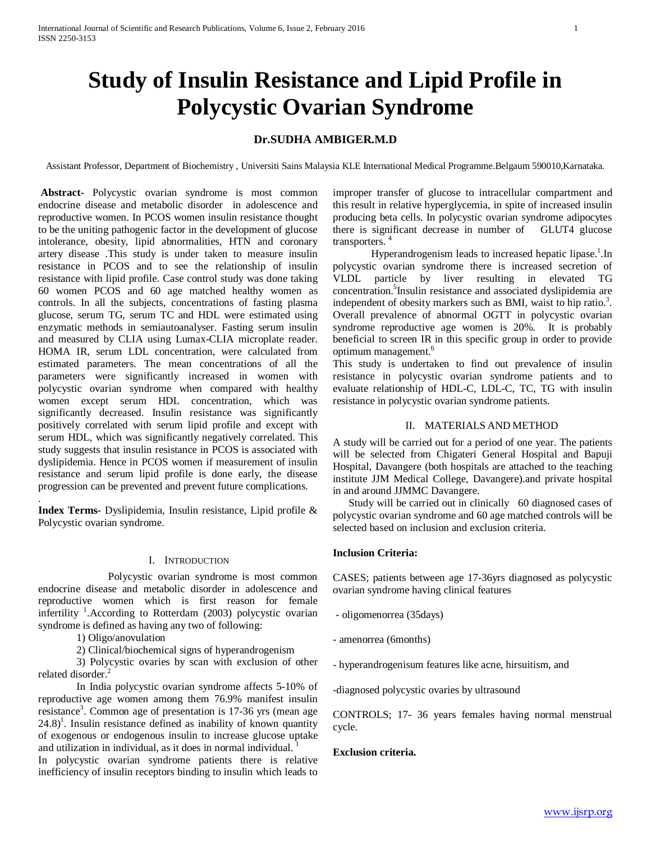# **Study of Insulin Resistance and Lipid Profile in Polycystic Ovarian Syndrome**

## **Dr.SUDHA AMBIGER.M.D**

Assistant Professor, Department of Biochemistry , Universiti Sains Malaysia KLE International Medical Programme.Belgaum 590010,Karnataka.

**Abstract-** Polycystic ovarian syndrome is most common endocrine disease and metabolic disorder in adolescence and reproductive women. In PCOS women insulin resistance thought to be the uniting pathogenic factor in the development of glucose intolerance, obesity, lipid abnormalities, HTN and coronary artery disease .This study is under taken to measure insulin resistance in PCOS and to see the relationship of insulin resistance with lipid profile. Case control study was done taking 60 women PCOS and 60 age matched healthy women as controls. In all the subjects, concentrations of fasting plasma glucose, serum TG, serum TC and HDL were estimated using enzymatic methods in semiautoanalyser. Fasting serum insulin and measured by CLIA using Lumax-CLIA microplate reader. HOMA IR, serum LDL concentration, were calculated from estimated parameters. The mean concentrations of all the parameters were significantly increased in women with polycystic ovarian syndrome when compared with healthy women except serum HDL concentration, which was significantly decreased. Insulin resistance was significantly positively correlated with serum lipid profile and except with serum HDL, which was significantly negatively correlated. This study suggests that insulin resistance in PCOS is associated with dyslipidemia. Hence in PCOS women if measurement of insulin resistance and serum lipid profile is done early, the disease progression can be prevented and prevent future complications.

**Index Terms-** Dyslipidemia, Insulin resistance, Lipid profile & Polycystic ovarian syndrome.

#### I. INTRODUCTION

Polycystic ovarian syndrome is most common endocrine disease and metabolic disorder in adolescence and reproductive women which is first reason for female infertility<sup>1</sup>. According to Rotterdam (2003) polycystic ovarian syndrome is defined as having any two of following:

1) Oligo/anovulation

.

2) Clinical/biochemical signs of hyperandrogenism

3) Polycystic ovaries by scan with exclusion of other related disorder.

In India polycystic ovarian syndrome affects 5-10% of reproductive age women among them 76.9% manifest insulin resistance<sup>3</sup>. Common age of presentation is 17-36 yrs (mean age  $24.8$ <sup>1</sup>. Insulin resistance defined as inability of known quantity of exogenous or endogenous insulin to increase glucose uptake and utilization in individual, as it does in normal individual. 1

In polycystic ovarian syndrome patients there is relative inefficiency of insulin receptors binding to insulin which leads to improper transfer of glucose to intracellular compartment and this result in relative hyperglycemia, in spite of increased insulin producing beta cells. In polycystic ovarian syndrome adipocytes there is significant decrease in number of GLUT4 glucose transporters. 4

Hyperandrogenism leads to increased hepatic lipase.<sup>1</sup>.In polycystic ovarian syndrome there is increased secretion of VLDL particle by liver resulting in elevated TG concentration.<sup>5</sup> Insulin resistance and associated dyslipidemia are independent of obesity markers such as BMI, waist to hip ratio.<sup>3</sup>. Overall prevalence of abnormal OGTT in polycystic ovarian syndrome reproductive age women is 20%. It is probably beneficial to screen IR in this specific group in order to provide optimum management.6

This study is undertaken to find out prevalence of insulin resistance in polycystic ovarian syndrome patients and to evaluate relationship of HDL-C, LDL-C, TC, TG with insulin resistance in polycystic ovarian syndrome patients.

## II. MATERIALS AND METHOD

A study will be carried out for a period of one year. The patients will be selected from Chigateri General Hospital and Bapuji Hospital, Davangere (both hospitals are attached to the teaching institute JJM Medical College, Davangere).and private hospital in and around JJMMC Davangere.

 Study will be carried out in clinically 60 diagnosed cases of polycystic ovarian syndrome and 60 age matched controls will be selected based on inclusion and exclusion criteria.

## **Inclusion Criteria:**

CASES; patients between age 17-36yrs diagnosed as polycystic ovarian syndrome having clinical features

- oligomenorrea (35days)
- amenorrea (6months)
- hyperandrogenisum features like acne, hirsuitism, and

-diagnosed polycystic ovaries by ultrasound

CONTROLS; 17- 36 years females having normal menstrual cycle.

#### **Exclusion criteria.**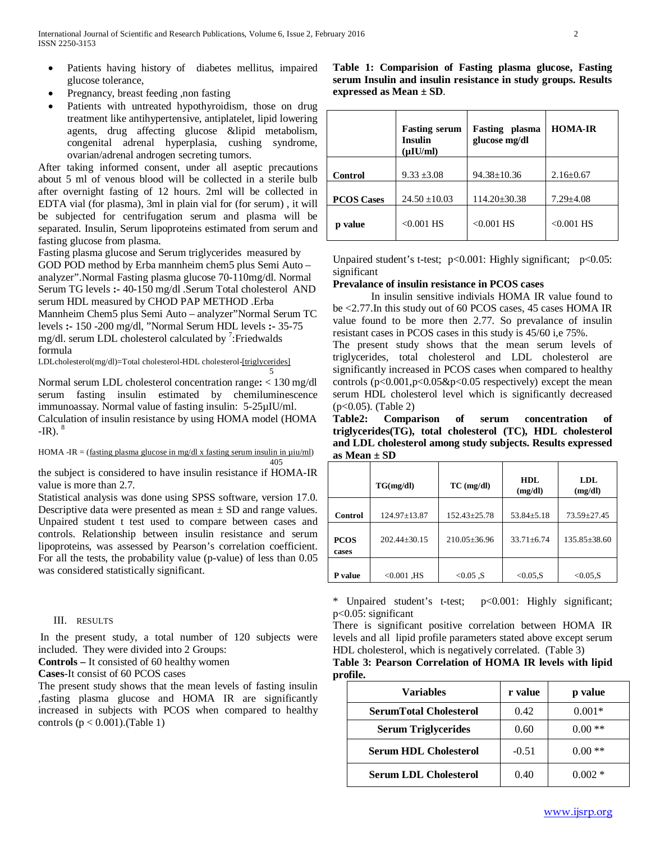- Patients having history of diabetes mellitus, impaired glucose tolerance,
- Pregnancy, breast feeding ,non fasting
- Patients with untreated hypothyroidism, those on drug treatment like antihypertensive, antiplatelet, lipid lowering agents, drug affecting glucose &lipid metabolism, congenital adrenal hyperplasia, cushing syndrome, ovarian/adrenal androgen secreting tumors.

After taking informed consent, under all aseptic precautions about 5 ml of venous blood will be collected in a sterile bulb after overnight fasting of 12 hours. 2ml will be collected in EDTA vial (for plasma), 3ml in plain vial for (for serum) , it will be subjected for centrifugation serum and plasma will be separated. Insulin, Serum lipoproteins estimated from serum and fasting glucose from plasma.

Fasting plasma glucose and Serum triglycerides measured by GOD POD method by Erba mannheim chem5 plus Semi Auto – analyzer".Normal Fasting plasma glucose 70-110mg/dl. Normal Serum TG levels **:-** 40-150 mg/dl .Serum Total cholesterol AND serum HDL measured by CHOD PAP METHOD .Erba Mannheim Chem5 plus Semi Auto – analyzer"Normal Serum TC levels **:-** 150 -200 mg/dl, "Normal Serum HDL levels **:-** 35-75 mg/dl. serum LDL cholesterol calculated by  $\frac{7}{1}$ : Friedwalds formula

LDLcholesterol(mg/dl)=Total cholesterol-HDL cholesterol-[triglycerides] 5

Normal serum LDL cholesterol concentration range**:** < 130 mg/dl serum fasting insulin estimated by chemiluminescence immunoassay. Normal value of fasting insulin: 5-25µIU/ml. Calculation of insulin resistance by using HOMA model (HOMA  $-IR$ ).  $^{8}$ 

HOMA -IR = (fasting plasma glucose in mg/dl x fasting serum insulin in  $\mu$ iu/ml) 405

the subject is considered to have insulin resistance if HOMA-IR value is more than 2.7.

Statistical analysis was done using SPSS software, version 17.0. Descriptive data were presented as mean  $\pm$  SD and range values. Unpaired student t test used to compare between cases and controls. Relationship between insulin resistance and serum lipoproteins, was assessed by Pearson's correlation coefficient. For all the tests, the probability value (p-value) of less than 0.05 was considered statistically significant.

## III. RESULTS

In the present study, a total number of 120 subjects were included. They were divided into 2 Groups:

**Controls –** It consisted of 60 healthy women

**Cases**-It consist of 60 PCOS cases

The present study shows that the mean levels of fasting insulin ,fasting plasma glucose and HOMA IR are significantly increased in subjects with PCOS when compared to healthy controls  $(p < 0.001)$ . (Table 1)

**Table 1: Comparision of Fasting plasma glucose, Fasting serum Insulin and insulin resistance in study groups. Results expressed as Mean ± SD**.

|                   | <b>Fasting serum</b><br><b>Insulin</b><br>$(\mu$ IU/ml) | <b>Fasting</b> plasma<br>glucose mg/dl | <b>HOMA-IR</b>  |
|-------------------|---------------------------------------------------------|----------------------------------------|-----------------|
| <b>Control</b>    | $9.33 \pm 3.08$                                         | $94.38 \pm 10.36$                      | $2.16 \pm 0.67$ |
| <b>PCOS Cases</b> | $24.50 \pm 10.03$                                       | $114.20 \pm 30.38$                     | $7.29 \pm 4.08$ |
| p value           | $< 0.001$ HS                                            | $< 0.001$ HS                           | $< 0.001$ HS    |

Unpaired student's t-test;  $p<0.001$ : Highly significant;  $p<0.05$ : significant

## **Prevalance of insulin resistance in PCOS cases**

In insulin sensitive indivials HOMA IR value found to be <2.77.In this study out of 60 PCOS cases, 45 cases HOMA IR value found to be more then 2.77. So prevalance of insulin resistant cases in PCOS cases in this study is 45/60 i,e 75%.

The present study shows that the mean serum levels of triglycerides, total cholesterol and LDL cholesterol are significantly increased in PCOS cases when compared to healthy controls  $(p<0.001, p<0.05\&p<0.05$  respectively) except the mean serum HDL cholesterol level which is significantly decreased (p<0.05). (Table 2)

**Table2: Comparison of serum concentration of triglycerides(TG), total cholesterol (TC), HDL cholesterol and LDL cholesterol among study subjects. Results expressed as Mean ± SD**

|                      | TG(mg/dl)        | $TC$ (mg/dl)       | HDL.<br>(mg/dl)  | LDL.<br>(mg/dl)    |
|----------------------|------------------|--------------------|------------------|--------------------|
| Control              | 124.97±13.87     | $152.43 \pm 25.78$ | $53.84 \pm 5.18$ | $73.59 \pm 27.45$  |
| <b>PCOS</b><br>cases | $202.44 + 30.15$ | 210.05±36.96       | $33.71 \pm 6.74$ | $135.85 \pm 38.60$ |
| P value              | $< 0.001$ , HS   | $< 0.05$ S         | $< 0.05$ , S     | $< 0.05$ , S       |

\* Unpaired student's t-test; p<0.001: Highly significant; p<0.05: significant

There is significant positive correlation between HOMA IR levels and all lipid profile parameters stated above except serum HDL cholesterol, which is negatively correlated. (Table 3)

**Table 3: Pearson Correlation of HOMA IR levels with lipid profile.**

| Variables                     | r value | p value  |
|-------------------------------|---------|----------|
| <b>SerumTotal Cholesterol</b> | 0.42    | $0.001*$ |
| <b>Serum Triglycerides</b>    | 0.60    | $***$    |
| <b>Serum HDL Cholesterol</b>  | $-0.51$ | $0.00**$ |
| <b>Serum LDL Cholesterol</b>  | 0.40    | $0.002*$ |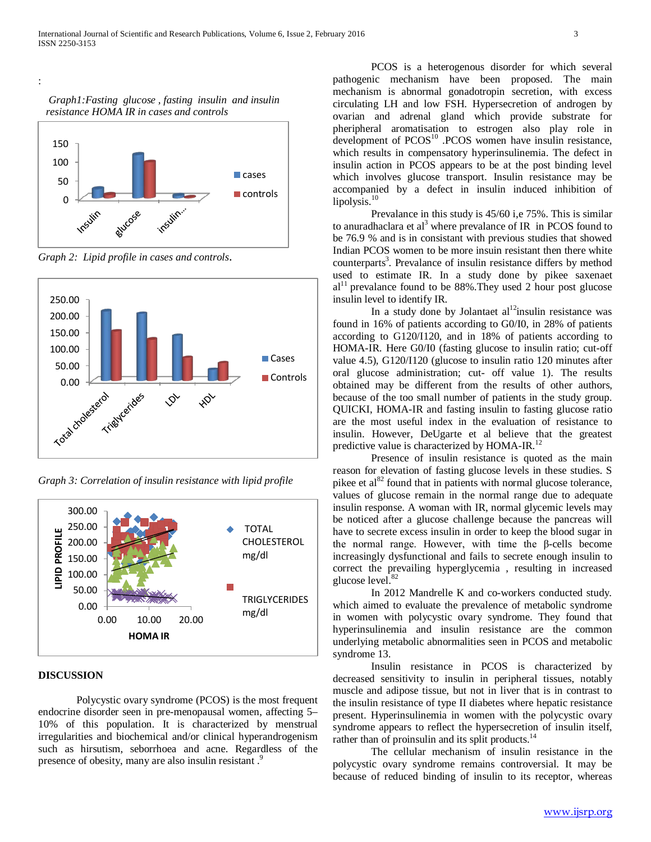*Graph1:Fasting glucose , fasting insulin and insulin resistance HOMA IR in cases and controls*

:



*Graph 2: Lipid profile in cases and controls*.



*Graph 3: Correlation of insulin resistance with lipid profile*



#### **DISCUSSION**

Polycystic ovary syndrome (PCOS) is the most frequent endocrine disorder seen in pre-menopausal women, affecting 5– 10% of this population. It is characterized by menstrual irregularities and biochemical and/or clinical hyperandrogenism such as hirsutism, seborrhoea and acne. Regardless of the presence of obesity, many are also insulin resistant.<sup>9</sup>

PCOS is a heterogenous disorder for which several pathogenic mechanism have been proposed. The main mechanism is abnormal gonadotropin secretion, with excess circulating LH and low FSH. Hypersecretion of androgen by ovarian and adrenal gland which provide substrate for pheripheral aromatisation to estrogen also play role in development of  $PCOS<sup>10</sup>$  .PCOS women have insulin resistance, which results in compensatory hyperinsulinemia. The defect in insulin action in PCOS appears to be at the post binding level which involves glucose transport. Insulin resistance may be accompanied by a defect in insulin induced inhibition of lipolysis. $10$ 

Prevalance in this study is 45/60 i,e 75%. This is similar to anuradhaclara et al<sup>3</sup> where prevalance of IR in PCOS found to be 76.9 % and is in consistant with previous studies that showed Indian PCOS women to be more insuin resistant then there white counterparts<sup>3</sup>. Prevalance of insulin resistance differs by method used to estimate IR. In a study done by pikee saxenaet  $al<sup>11</sup>$  prevalance found to be 88%. They used 2 hour post glucose insulin level to identify IR.

In a study done by Jolantaet  $al<sup>12</sup>$ insulin resistance was found in 16% of patients according to G0/I0, in 28% of patients according to G120/I120, and in 18% of patients according to HOMA-IR. Here G0/I0 (fasting glucose to insulin ratio; cut-off value 4.5), G120/I120 (glucose to insulin ratio 120 minutes after oral glucose administration; cut- off value 1). The results obtained may be different from the results of other authors, because of the too small number of patients in the study group. QUICKI, HOMA-IR and fasting insulin to fasting glucose ratio are the most useful index in the evaluation of resistance to insulin. However, DeUgarte et al believe that the greatest predictive value is characterized by HOMA-IR.<sup>12</sup>

Presence of insulin resistance is quoted as the main reason for elevation of fasting glucose levels in these studies. S pikee et  $al^{82}$  found that in patients with normal glucose tolerance, values of glucose remain in the normal range due to adequate insulin response. A woman with IR, normal glycemic levels may be noticed after a glucose challenge because the pancreas will have to secrete excess insulin in order to keep the blood sugar in the normal range. However, with time the β-cells become increasingly dysfunctional and fails to secrete enough insulin to correct the prevailing hyperglycemia , resulting in increased glucose level.<sup>82</sup>

In 2012 Mandrelle K and co-workers conducted study. which aimed to evaluate the prevalence of metabolic syndrome in women with polycystic ovary syndrome. They found that hyperinsulinemia and insulin resistance are the common underlying metabolic abnormalities seen in PCOS and metabolic syndrome 13.

Insulin resistance in PCOS is characterized by decreased sensitivity to insulin in peripheral tissues, notably muscle and adipose tissue, but not in liver that is in contrast to the insulin resistance of type II diabetes where hepatic resistance present. Hyperinsulinemia in women with the polycystic ovary syndrome appears to reflect the hypersecretion of insulin itself, rather than of proinsulin and its split products.<sup>14</sup>

The cellular mechanism of insulin resistance in the polycystic ovary syndrome remains controversial. It may be because of reduced binding of insulin to its receptor, whereas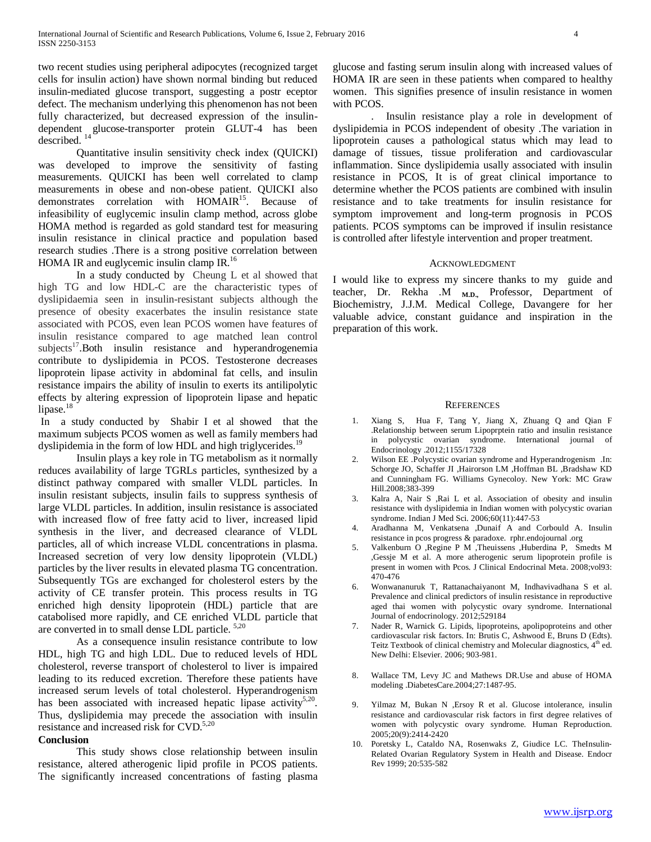two recent studies using peripheral adipocytes (recognized target cells for insulin action) have shown normal binding but reduced insulin-mediated glucose transport, suggesting a postr eceptor defect. The mechanism underlying this phenomenon has not been fully characterized, but decreased expression of the insulindependent glucose-transporter protein GLUT-4 has been described.<sup>14</sup>

Quantitative insulin sensitivity check index (QUICKI) was developed to improve the sensitivity of fasting measurements. QUICKI has been well correlated to clamp measurements in obese and non-obese patient. QUICKI also demonstrates correlation with HOMAIR<sup>15</sup>. Because of infeasibility of euglycemic insulin clamp method, across globe HOMA method is regarded as gold standard test for measuring insulin resistance in clinical practice and population based research studies .There is a strong positive correlation between HOMA IR and euglycemic insulin clamp IR.<sup>16</sup>

In a study conducted by Cheung L et al showed that high TG and low HDL-C are the characteristic types of dyslipidaemia seen in insulin-resistant subjects although the presence of obesity exacerbates the insulin resistance state associated with PCOS, even lean PCOS women have features of insulin resistance compared to age matched lean control subjects<sup>17</sup>.Both insulin resistance and hyperandrogenemia contribute to dyslipidemia in PCOS. Testosterone decreases lipoprotein lipase activity in abdominal fat cells, and insulin resistance impairs the ability of insulin to exerts its antilipolytic effects by altering expression of lipoprotein lipase and hepatic lipase.<sup>18</sup>

In a study conducted by [Shabir](http://www.ncbi.nlm.nih.gov/pubmed/?term=Shabir%20I%5Bauth%5D) I et al showed that the maximum subjects PCOS women as well as family members had dyslipidemia in the form of low HDL and high triglycerides.<sup>19</sup>

Insulin plays a key role in TG metabolism as it normally reduces availability of large TGRLs particles, synthesized by a distinct pathway compared with smaller VLDL particles. In insulin resistant subjects, insulin fails to suppress synthesis of large VLDL particles. In addition, insulin resistance is associated with increased flow of free fatty acid to liver, increased lipid synthesis in the liver, and decreased clearance of VLDL particles, all of which increase VLDL concentrations in plasma. Increased secretion of very low density lipoprotein (VLDL) particles by the liver results in elevated plasma TG concentration. Subsequently TGs are exchanged for cholesterol esters by the activity of CE transfer protein. This process results in TG enriched high density lipoprotein (HDL) particle that are catabolised more rapidly, and CE enriched VLDL particle that are converted in to small dense LDL particle. 5,20

As a consequence insulin resistance contribute to low HDL, high TG and high LDL. Due to reduced levels of HDL cholesterol, reverse transport of cholesterol to liver is impaired leading to its reduced excretion. Therefore these patients have increased serum levels of total cholesterol. Hyperandrogenism has been associated with increased hepatic lipase activity<sup>5,20</sup>. Thus, dyslipidemia may precede the association with insulin resistance and increased risk for CVD.<sup>5,20</sup>

#### **Conclusion**

This study shows close relationship between insulin resistance, altered atherogenic lipid profile in PCOS patients. The significantly increased concentrations of fasting plasma glucose and fasting serum insulin along with increased values of HOMA IR are seen in these patients when compared to healthy women. This signifies presence of insulin resistance in women with PCOS.

. Insulin resistance play a role in development of dyslipidemia in PCOS independent of obesity .The variation in lipoprotein causes a pathological status which may lead to damage of tissues, tissue proliferation and cardiovascular inflammation. Since dyslipidemia usally associated with insulin resistance in PCOS, It is of great clinical importance to determine whether the PCOS patients are combined with insulin resistance and to take treatments for insulin resistance for symptom improvement and long-term prognosis in PCOS patients. PCOS symptoms can be improved if insulin resistance is controlled after lifestyle intervention and proper treatment.

#### ACKNOWLEDGMENT

I would like to express my sincere thanks to my guide and teacher, Dr. Rekha .M **M.D.,** Professor, Department of Biochemistry, J.J.M. Medical College, Davangere for her valuable advice, constant guidance and inspiration in the preparation of this work.

#### **REFERENCES**

- 1. Xiang S, Hua F, Tang Y, Jiang X, Zhuang Q and Qian F .Relationship between serum Lipoprptein ratio and insulin resistance in polycystic ovarian syndrome. International journal of Endocrinology .2012;1155/17328
- 2. Wilson EE .Polycystic ovarian syndrome and Hyperandrogenism .In: Schorge JO, Schaffer JI ,Hairorson LM ,Hoffman BL ,Bradshaw KD and Cunningham FG. Williams Gynecoloy. New York: MC Graw Hill.2008;383-399
- 3. Kalra A, Nair S ,Rai L et al. Association of obesity and insulin resistance with dyslipidemia in Indian women with polycystic ovarian syndrome. Indian J Med Sci. 2006;60(11):447-53
- 4. Aradhanna M, Venkatsena ,Dunaif A and Corbould A. Insulin resistance in pcos progress & paradoxe. rphr.endojournal .org
- 5. Valkenburn O ,Regine P M ,Theuissens ,Huberdina P, Smedts M ,Gessje M et al. A more atherogenic serum lipoprotein profile is present in women with Pcos. J Clinical Endocrinal Meta. 2008;vol93: 470-476
- 6. Wonwananuruk T, Rattanachaiyanont M, Indhavivadhana S et al. Prevalence and clinical predictors of insulin resistance in reproductive aged thai women with polycystic ovary syndrome. International Journal of endocrinology. 2012;529184
- 7. Nader R, Warnick G. Lipids, lipoproteins, apolipoproteins and other cardiovascular risk factors. In: Brutis C, Ashwood E, Bruns D (Edts). Teitz Textbook of clinical chemistry and Molecular diagnostics,  $4<sup>th</sup>$  ed. New Delhi: Elsevier. 2006; 903-981.
- 8. Wallace TM, Levy JC and Mathews DR.Use and abuse of HOMA modeling .DiabetesCare.2004;27:1487-95.
- 9. Yilmaz M, Bukan N ,Ersoy R et al. Glucose intolerance, insulin resistance and cardiovascular risk factors in first degree relatives of women with polycystic ovary syndrome. Human Reproduction. 2005;20(9):2414-2420
- 10. Poretsky L, Cataldo NA, Rosenwaks Z, Giudice LC. TheInsulin‐ Related Ovarian Regulatory System in Health and Disease. Endocr Rev 1999; 20:535‐582